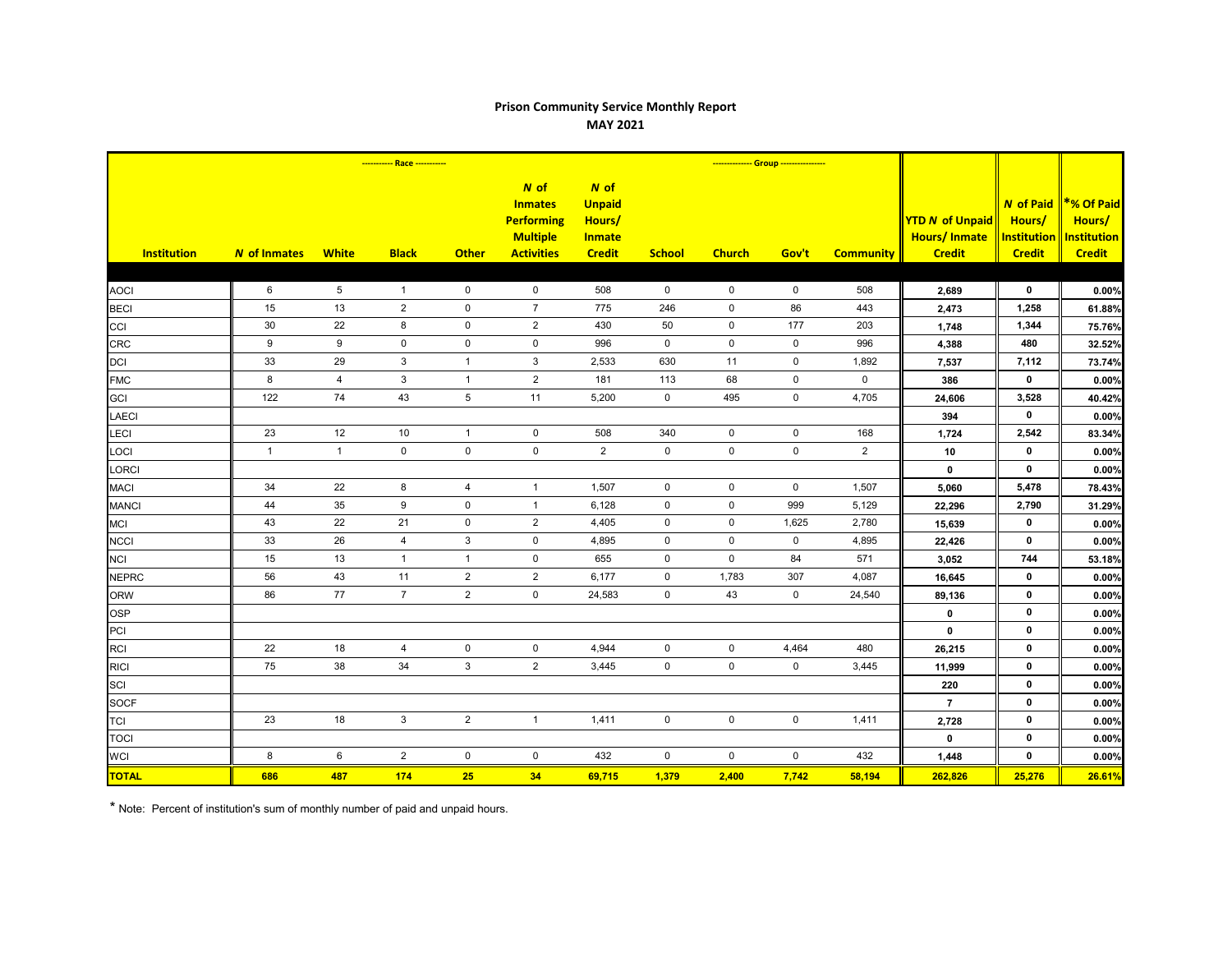## **Prison Community Service Monthly Report MAY 2021**

|                    | ----------- Race ----------- |                |                |                |                                                                                     | -------------- Group ----------------                             |                     |                     |             |                     |                                                                |                                                                   |                                                             |
|--------------------|------------------------------|----------------|----------------|----------------|-------------------------------------------------------------------------------------|-------------------------------------------------------------------|---------------------|---------------------|-------------|---------------------|----------------------------------------------------------------|-------------------------------------------------------------------|-------------------------------------------------------------|
| <b>Institution</b> | N of Inmates                 | <b>White</b>   | <b>Black</b>   | <b>Other</b>   | N of<br><b>Inmates</b><br><b>Performing</b><br><b>Multiple</b><br><b>Activities</b> | N of<br><b>Unpaid</b><br>Hours/<br><b>Inmate</b><br><b>Credit</b> | <b>School</b>       | <b>Church</b>       | Gov't       | <b>Community</b>    | <b>YTD N of Unpaid</b><br><b>Hours/Inmate</b><br><b>Credit</b> | <b>N</b> of Paid<br>Hours/<br><b>Institution</b><br><b>Credit</b> | *% Of Paid<br>Hours/<br><b>Institution</b><br><b>Credit</b> |
|                    |                              |                |                |                |                                                                                     |                                                                   |                     |                     |             |                     |                                                                |                                                                   |                                                             |
| <b>AOCI</b>        | 6                            | $\overline{5}$ | $\overline{1}$ | $\mathsf 0$    | $\mathbf 0$                                                                         | 508                                                               | $\mathbf 0$         | $\mathbf 0$         | $\mathbf 0$ | 508                 | 2,689                                                          | $\mathbf 0$                                                       | 0.00%                                                       |
| <b>BECI</b>        | 15                           | 13             | $\overline{2}$ | $\mathbf 0$    | $\overline{7}$                                                                      | 775                                                               | 246                 | $\mathbf 0$         | 86          | 443                 | 2,473                                                          | 1,258                                                             | 61.88%                                                      |
| CCI                | $30\,$                       | 22             | 8              | 0              | 2                                                                                   | 430                                                               | 50                  | $\mathbf 0$         | 177         | 203                 | 1,748                                                          | 1,344                                                             | 75.76%                                                      |
| <b>CRC</b>         | 9                            | 9              | $\mathbf 0$    | $\mathbf 0$    | $\mathbf 0$                                                                         | 996                                                               | $\mathbf 0$         | $\mathbf 0$         | $\mathbf 0$ | 996                 | 4,388                                                          | 480                                                               | 32.52%                                                      |
| <b>DCI</b>         | 33                           | 29             | $\mathbf{3}$   | $\overline{1}$ | 3                                                                                   | 2,533                                                             | 630                 | 11                  | $\mathbf 0$ | 1,892               | 7,537                                                          | 7,112                                                             | 73.74%                                                      |
| <b>FMC</b>         | 8                            | $\overline{4}$ | $\mathbf{3}$   | $\mathbf{1}$   | $\sqrt{2}$                                                                          | 181                                                               | 113                 | 68                  | $\mathbf 0$ | $\mathsf{O}\xspace$ | 386                                                            | $\mathbf 0$                                                       | 0.00%                                                       |
| <b>GCI</b>         | 122                          | 74             | 43             | $\,$ 5 $\,$    | 11                                                                                  | 5,200                                                             | $\mathbf 0$         | 495                 | $\mathbf 0$ | 4,705               | 24,606                                                         | 3,528                                                             | 40.42%                                                      |
| <b>LAECI</b>       |                              |                |                |                |                                                                                     |                                                                   |                     |                     |             |                     | 394                                                            | $\mathbf 0$                                                       | 0.00%                                                       |
| LECI               | 23                           | 12             | 10             | $\mathbf{1}$   | $\mathsf{O}\xspace$                                                                 | 508                                                               | 340                 | $\mathsf{O}\xspace$ | $\pmb{0}$   | 168                 | 1,724                                                          | 2,542                                                             | 83.34%                                                      |
| LOCI               | $\mathbf{1}$                 | $\mathbf{1}$   | $\mathbf 0$    | $\pmb{0}$      | $\mathsf{O}\xspace$                                                                 | $\overline{2}$                                                    | $\pmb{0}$           | $\mathsf 0$         | $\mathbf 0$ | 2                   | $10$                                                           | $\mathbf 0$                                                       | 0.00%                                                       |
| LORCI              |                              |                |                |                |                                                                                     |                                                                   |                     |                     |             |                     | $\mathbf 0$                                                    | $\mathbf 0$                                                       | 0.00%                                                       |
| <b>MACI</b>        | 34                           | 22             | 8              | $\overline{4}$ | $\mathbf{1}$                                                                        | 1,507                                                             | $\mathbf 0$         | $\mathbf 0$         | $\mathbf 0$ | 1,507               | 5,060                                                          | 5,478                                                             | 78.43%                                                      |
| <b>MANCI</b>       | 44                           | 35             | 9              | $\mathbf 0$    | $\mathbf{1}$                                                                        | 6,128                                                             | $\mathbf 0$         | $\mathbf 0$         | 999         | 5,129               | 22,296                                                         | 2,790                                                             | 31.29%                                                      |
| <b>MCI</b>         | 43                           | 22             | 21             | $\pmb{0}$      | $\overline{2}$                                                                      | 4,405                                                             | $\mathbf 0$         | $\mathbf 0$         | 1,625       | 2,780               | 15,639                                                         | $\mathbf 0$                                                       | 0.00%                                                       |
| <b>NCCI</b>        | 33                           | 26             | $\overline{4}$ | $\mathsf 3$    | $\mathbf 0$                                                                         | 4,895                                                             | $\mathbf 0$         | $\mathbf 0$         | $\mathbf 0$ | 4,895               | 22,426                                                         | $\mathbf 0$                                                       | 0.00%                                                       |
| <b>NCI</b>         | 15                           | 13             | $\mathbf{1}$   | $\mathbf{1}$   | $\mathsf{O}\xspace$                                                                 | 655                                                               | $\mathbf 0$         | $\mathbf 0$         | 84          | 571                 | 3,052                                                          | 744                                                               | 53.18%                                                      |
| <b>NEPRC</b>       | 56                           | 43             | 11             | $\sqrt{2}$     | $\mathbf 2$                                                                         | 6,177                                                             | 0                   | 1,783               | 307         | 4,087               | 16,645                                                         | $\mathbf 0$                                                       | 0.00%                                                       |
| <b>ORW</b>         | 86                           | 77             | $\overline{7}$ | $\overline{2}$ | $\mathbf 0$                                                                         | 24,583                                                            | $\mathbf 0$         | 43                  | $\mathbf 0$ | 24,540              | 89,136                                                         | $\mathbf 0$                                                       | 0.00%                                                       |
| <b>OSP</b>         |                              |                |                |                |                                                                                     |                                                                   |                     |                     |             |                     | $\mathbf 0$                                                    | $\mathbf 0$                                                       | 0.00%                                                       |
| PCI                |                              |                |                |                |                                                                                     |                                                                   |                     |                     |             |                     | $\mathbf 0$                                                    | $\mathbf 0$                                                       | 0.00%                                                       |
| <b>RCI</b>         | 22                           | $18$           | $\overline{4}$ | $\pmb{0}$      | $\mathbf 0$                                                                         | 4,944                                                             | $\mathbf 0$         | $\mathbf 0$         | 4,464       | 480                 | 26,215                                                         | $\mathbf 0$                                                       | 0.00%                                                       |
| <b>RICI</b>        | 75                           | 38             | 34             | $\mathbf{3}$   | $\overline{2}$                                                                      | 3,445                                                             | $\mathsf{O}$        | $\mathbf 0$         | $\mathbf 0$ | 3,445               | 11,999                                                         | $\mathbf 0$                                                       | 0.00%                                                       |
| SCI                |                              |                |                |                |                                                                                     |                                                                   |                     |                     |             |                     | 220                                                            | $\mathbf 0$                                                       | 0.00%                                                       |
| <b>SOCF</b>        |                              |                |                |                |                                                                                     |                                                                   |                     |                     |             |                     | $\overline{7}$                                                 | $\mathbf 0$                                                       | 0.00%                                                       |
| <b>TCI</b>         | 23                           | 18             | $\mathbf{3}$   | $\overline{2}$ | $\mathbf{1}$                                                                        | 1,411                                                             | $\mathbf 0$         | $\mathbf 0$         | $\mathbf 0$ | 1,411               | 2,728                                                          | $\mathbf 0$                                                       | 0.00%                                                       |
| <b>TOCI</b>        |                              |                |                |                |                                                                                     |                                                                   |                     |                     |             |                     | $\mathbf 0$                                                    | $\mathbf 0$                                                       | 0.00%                                                       |
| <b>WCI</b>         | 8                            | 6              | $\overline{2}$ | $\pmb{0}$      | $\mathbf 0$                                                                         | 432                                                               | $\mathsf{O}\xspace$ | $\mathbf 0$         | $\mathbf 0$ | 432                 | 1,448                                                          | $\mathbf 0$                                                       | 0.00%                                                       |
| <b>TOTAL</b>       | 686                          | 487            | 174            | 25             | 34                                                                                  | 69,715                                                            | 1,379               | 2,400               | 7,742       | 58,194              | 262,826                                                        | 25,276                                                            | 26.61%                                                      |

\* Note: Percent of institution's sum of monthly number of paid and unpaid hours.